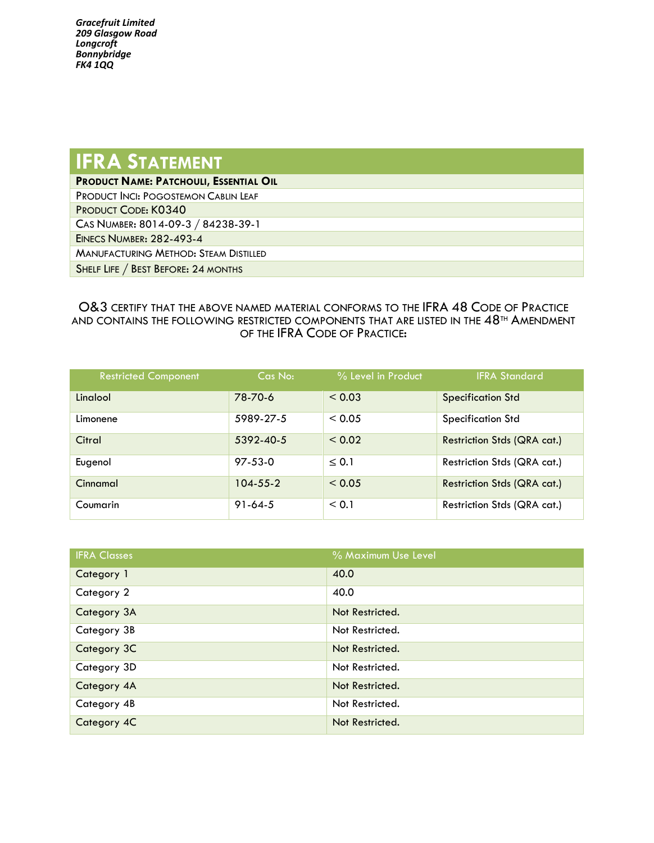*Gracefruit Limited 209 Glasgow Road Longcroft Bonnybridge FK4 1QQ*

## **IFRA** STATEMENT

**PRODUCT NAME: PATCHOULI, ESSENTIAL OIL**

PRODUCT INCI: POGOSTEMON CABLIN LEAF

PRODUCT CODE: K0340

CAS NUMBER: 8014-09-3 / 84238-39-1

EINECS NUMBER: 282-493-4

MANUFACTURING METHOD: STEAM DISTILLED

SHELF LIFE / BEST BEFORE: 24 MONTHS

## O&3 CERTIFY THAT THE ABOVE NAMED MATERIAL CONFORMS TO THE IFRA 48 CODE OF PRACTICE AND CONTAINS THE FOLLOWING RESTRICTED COMPONENTS THAT ARE LISTED IN THE 48<sup>TH</sup> AMENDMENT OF THE IFRA CODE OF PRACTICE:

| <b>Restricted Component</b> | Cas No:        | $\%$ Level in Product | <b>IFRA Standard</b>        |
|-----------------------------|----------------|-----------------------|-----------------------------|
| Linglool                    | 78-70-6        | < 0.03                | <b>Specification Std</b>    |
| Limonene                    | 5989-27-5      | < 0.05                | <b>Specification Std</b>    |
| Citral                      | 5392-40-5      | ${}_{0.02}$           | Restriction Stds (QRA cat.) |
| Eugenol                     | $97 - 53 - 0$  | $\leq 0.1$            | Restriction Stds (QRA cat.) |
| Cinnamal                    | $104 - 55 - 2$ | < 0.05                | Restriction Stds (QRA cat.) |
| Coumarin                    | $91-64-5$      | < 0.1                 | Restriction Stds (QRA cat.) |

| <b>IFRA Classes</b> | % Maximum Use Level |
|---------------------|---------------------|
| Category 1          | 40.0                |
| Category 2          | 40.0                |
| Category 3A         | Not Restricted.     |
| Category 3B         | Not Restricted.     |
| Category 3C         | Not Restricted.     |
| Category 3D         | Not Restricted.     |
| Category 4A         | Not Restricted.     |
| Category 4B         | Not Restricted.     |
| Category 4C         | Not Restricted.     |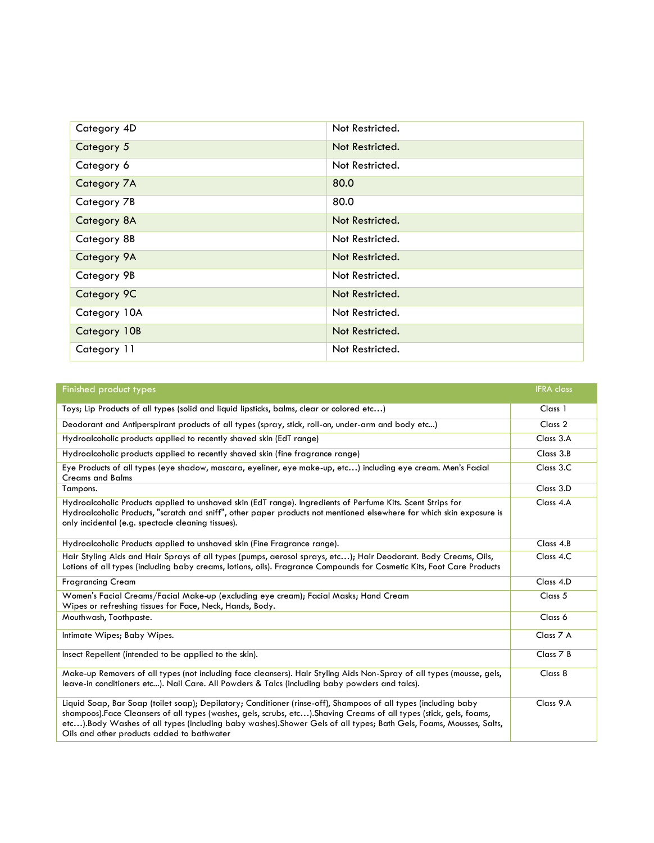| Category 4D  | Not Restricted. |
|--------------|-----------------|
| Category 5   | Not Restricted. |
| Category 6   | Not Restricted. |
| Category 7A  | 80.0            |
| Category 7B  | 80.0            |
| Category 8A  | Not Restricted. |
| Category 8B  | Not Restricted. |
| Category 9A  | Not Restricted. |
| Category 9B  | Not Restricted. |
| Category 9C  | Not Restricted. |
| Category 10A | Not Restricted. |
| Category 10B | Not Restricted. |
| Category 11  | Not Restricted. |

| <b>Finished product types</b>                                                                                                                                                                                                                                                                                                                                                                              | <b>IFRA</b> class |
|------------------------------------------------------------------------------------------------------------------------------------------------------------------------------------------------------------------------------------------------------------------------------------------------------------------------------------------------------------------------------------------------------------|-------------------|
| Toys; Lip Products of all types (solid and liquid lipsticks, balms, clear or colored etc)                                                                                                                                                                                                                                                                                                                  | Class 1           |
| Deodorant and Antiperspirant products of all types (spray, stick, roll-on, under-arm and body etc)                                                                                                                                                                                                                                                                                                         | Class 2           |
| Hydroalcoholic products applied to recently shaved skin (EdT range)                                                                                                                                                                                                                                                                                                                                        | Class 3.A         |
| Hydroalcoholic products applied to recently shaved skin (fine fragrance range)                                                                                                                                                                                                                                                                                                                             | Class 3.B         |
| Eye Products of all types (eye shadow, mascara, eyeliner, eye make-up, etc) including eye cream. Men's Facial<br><b>Creams and Balms</b>                                                                                                                                                                                                                                                                   | Class 3.C         |
| Tampons.                                                                                                                                                                                                                                                                                                                                                                                                   | Class 3.D         |
| Hydroalcoholic Products applied to unshaved skin (EdT range). Ingredients of Perfume Kits. Scent Strips for<br>Hydroalcoholic Products, "scratch and sniff", other paper products not mentioned elsewhere for which skin exposure is<br>only incidental (e.g. spectacle cleaning tissues).                                                                                                                 | Class 4.A         |
| Hydroalcoholic Products applied to unshaved skin (Fine Fragrance range).                                                                                                                                                                                                                                                                                                                                   | Class 4.B         |
| Hair Styling Aids and Hair Sprays of all types (pumps, aerosol sprays, etc); Hair Deodorant. Body Creams, Oils,<br>Lotions of all types (including baby creams, lotions, oils). Fragrance Compounds for Cosmetic Kits, Foot Care Products                                                                                                                                                                  | Class 4.C         |
| <b>Fragrancing Cream</b>                                                                                                                                                                                                                                                                                                                                                                                   | Class 4.D         |
| Women's Facial Creams/Facial Make-up (excluding eye cream); Facial Masks; Hand Cream<br>Wipes or refreshing tissues for Face, Neck, Hands, Body.                                                                                                                                                                                                                                                           | Class 5           |
| Mouthwash, Toothpaste.                                                                                                                                                                                                                                                                                                                                                                                     | Class 6           |
| Intimate Wipes; Baby Wipes.                                                                                                                                                                                                                                                                                                                                                                                | Class 7 A         |
| Insect Repellent (intended to be applied to the skin).                                                                                                                                                                                                                                                                                                                                                     | Class 7 B         |
| Make-up Removers of all types (not including face cleansers). Hair Styling Aids Non-Spray of all types (mousse, gels,<br>leave-in conditioners etc). Nail Care. All Powders & Talcs (including baby powders and talcs).                                                                                                                                                                                    | Class 8           |
| Liquid Soap, Bar Soap (toilet soap); Depilatory; Conditioner (rinse-off), Shampoos of all types (including baby<br>shampoos).Face Cleansers of all types (washes, gels, scrubs, etc).Shaving Creams of all types (stick, gels, foams,<br>etc). Body Washes of all types (including baby washes). Shower Gels of all types; Bath Gels, Foams, Mousses, Salts,<br>Oils and other products added to bathwater | Class 9.A         |